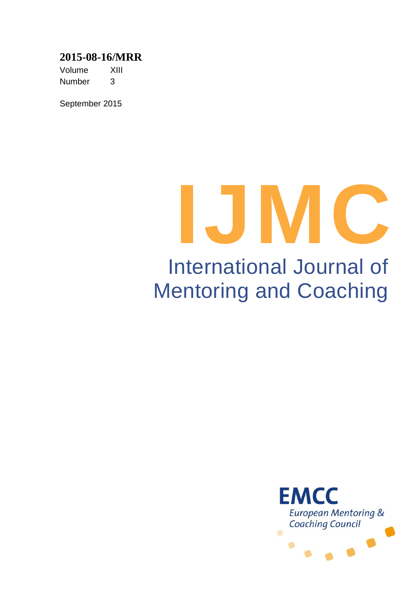## **2015-08-16/MRR**

Volume XIII Number 3

September 2015

# **IJMC** International Journal of Mentoring and Coaching

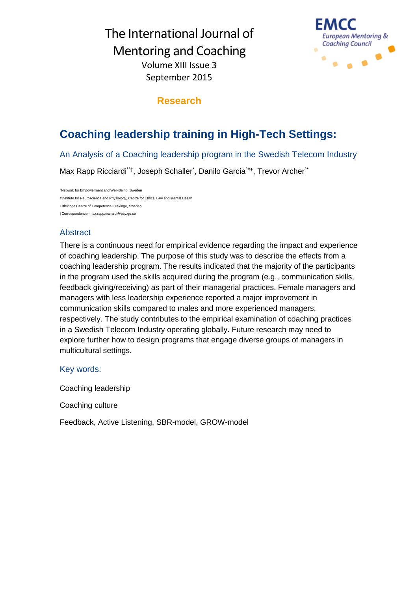

## **Research**

# **Coaching leadership training in High-Tech Settings:**

An Analysis of a Coaching leadership program in the Swedish Telecom Industry

Max Rapp Ricciardi<sup>\*\*†</sup>, Joseph Schaller<sup>\*</sup>, Danilo Garcia<sup>\*#+</sup>, Trevor Archer<sup>\*\*</sup>

°Network for Empowerment and Well-Being, Sweden #Institute for Neuroscience and Physiology, Centre for Ethics, Law and Mental Health +Blekinge Centre of Competence, Blekinge, Sweden †Correspondence: max.rapp.ricciardi@psy.gu.se

## Abstract

There is a continuous need for empirical evidence regarding the impact and experience of coaching leadership. The purpose of this study was to describe the effects from a coaching leadership program. The results indicated that the majority of the participants in the program used the skills acquired during the program (e.g., communication skills, feedback giving/receiving) as part of their managerial practices. Female managers and managers with less leadership experience reported a major improvement in communication skills compared to males and more experienced managers, respectively. The study contributes to the empirical examination of coaching practices in a Swedish Telecom Industry operating globally. Future research may need to explore further how to design programs that engage diverse groups of managers in multicultural settings.

## Key words:

Coaching leadership

Coaching culture

Feedback, Active Listening, SBR-model, GROW-model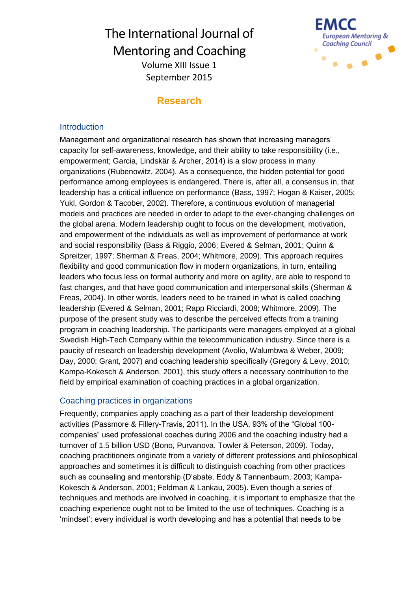

## **Research**

#### **Introduction**

Management and organizational research has shown that increasing managers' capacity for self-awareness, knowledge, and their ability to take responsibility (i.e., empowerment; Garcia, Lindskär & Archer, 2014) is a slow process in many organizations (Rubenowitz, 2004). As a consequence, the hidden potential for good performance among employees is endangered. There is, after all, a consensus in, that leadership has a critical influence on performance (Bass, 1997; Hogan & Kaiser, 2005; Yukl, Gordon & Tacober, 2002). Therefore, a continuous evolution of managerial models and practices are needed in order to adapt to the ever-changing challenges on the global arena. Modern leadership ought to focus on the development, motivation, and empowerment of the individuals as well as improvement of performance at work and social responsibility (Bass & Riggio, 2006; Evered & Selman, 2001; Quinn & Spreitzer, 1997; Sherman & Freas, 2004; Whitmore, 2009). This approach requires flexibility and good communication flow in modern organizations, in turn, entailing leaders who focus less on formal authority and more on agility, are able to respond to fast changes, and that have good communication and interpersonal skills (Sherman & Freas, 2004). In other words, leaders need to be trained in what is called coaching leadership (Evered & Selman, 2001; Rapp Ricciardi, 2008; Whitmore, 2009). The purpose of the present study was to describe the perceived effects from a training program in coaching leadership. The participants were managers employed at a global Swedish High-Tech Company within the telecommunication industry. Since there is a paucity of research on leadership development (Avolio, Walumbwa & Weber, 2009; Day, 2000; Grant, 2007) and coaching leadership specifically (Gregory & Levy, 2010; Kampa-Kokesch & Anderson, 2001), this study offers a necessary contribution to the field by empirical examination of coaching practices in a global organization.

#### Coaching practices in organizations

Frequently, companies apply coaching as a part of their leadership development activities (Passmore & Fillery-Travis, 2011). In the USA, 93% of the "Global 100 companies" used professional coaches during 2006 and the coaching industry had a turnover of 1.5 billion USD (Bono, Purvanova, Towler & Peterson, 2009). Today, coaching practitioners originate from a variety of different professions and philosophical approaches and sometimes it is difficult to distinguish coaching from other practices such as counseling and mentorship (D'abate, Eddy & Tannenbaum, 2003; Kampa-Kokesch & Anderson, 2001; Feldman & Lankau, 2005). Even though a series of techniques and methods are involved in coaching, it is important to emphasize that the coaching experience ought not to be limited to the use of techniques. Coaching is a 'mindset': every individual is worth developing and has a potential that needs to be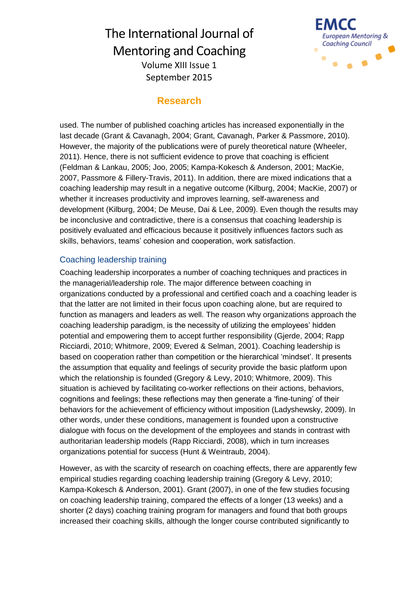

## **Research**

used. The number of published coaching articles has increased exponentially in the last decade (Grant & Cavanagh, 2004; Grant, Cavanagh, Parker & Passmore, 2010). However, the majority of the publications were of purely theoretical nature (Wheeler, 2011). Hence, there is not sufficient evidence to prove that coaching is efficient (Feldman & Lankau, 2005; Joo, 2005; Kampa-Kokesch & Anderson, 2001; MacKie, 2007, Passmore & Fillery-Travis, 2011). In addition, there are mixed indications that a coaching leadership may result in a negative outcome (Kilburg, 2004; MacKie, 2007) or whether it increases productivity and improves learning, self-awareness and development (Kilburg, 2004; De Meuse, Dai & Lee, 2009). Even though the results may be inconclusive and contradictive, there is a consensus that coaching leadership is positively evaluated and efficacious because it positively influences factors such as skills, behaviors, teams' cohesion and cooperation, work satisfaction.

#### Coaching leadership training

Coaching leadership incorporates a number of coaching techniques and practices in the managerial/leadership role. The major difference between coaching in organizations conducted by a professional and certified coach and a coaching leader is that the latter are not limited in their focus upon coaching alone, but are required to function as managers and leaders as well. The reason why organizations approach the coaching leadership paradigm, is the necessity of utilizing the employees' hidden potential and empowering them to accept further responsibility (Gjerde, 2004; Rapp Ricciardi, 2010; Whitmore, 2009; Evered & Selman, 2001). Coaching leadership is based on cooperation rather than competition or the hierarchical 'mindset'. It presents the assumption that equality and feelings of security provide the basic platform upon which the relationship is founded (Gregory & Levy, 2010; Whitmore, 2009). This situation is achieved by facilitating co-worker reflections on their actions, behaviors, cognitions and feelings; these reflections may then generate a 'fine-tuning' of their behaviors for the achievement of efficiency without imposition (Ladyshewsky, 2009). In other words, under these conditions, management is founded upon a constructive dialogue with focus on the development of the employees and stands in contrast with authoritarian leadership models (Rapp Ricciardi, 2008), which in turn increases organizations potential for success (Hunt & Weintraub, 2004).

However, as with the scarcity of research on coaching effects, there are apparently few empirical studies regarding coaching leadership training (Gregory & Levy, 2010; Kampa-Kokesch & Anderson, 2001). Grant (2007), in one of the few studies focusing on coaching leadership training, compared the effects of a longer (13 weeks) and a shorter (2 days) coaching training program for managers and found that both groups increased their coaching skills, although the longer course contributed significantly to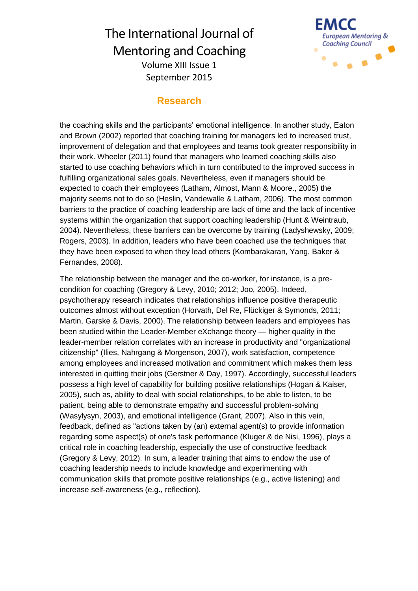

## **Research**

the coaching skills and the participants' emotional intelligence. In another study, Eaton and Brown (2002) reported that coaching training for managers led to increased trust, improvement of delegation and that employees and teams took greater responsibility in their work. Wheeler (2011) found that managers who learned coaching skills also started to use coaching behaviors which in turn contributed to the improved success in fulfilling organizational sales goals. Nevertheless, even if managers should be expected to coach their employees (Latham, Almost, Mann & Moore., 2005) the majority seems not to do so (Heslin, Vandewalle & Latham, 2006). The most common barriers to the practice of coaching leadership are lack of time and the lack of incentive systems within the organization that support coaching leadership (Hunt & Weintraub, 2004). Nevertheless, these barriers can be overcome by training (Ladyshewsky, 2009; Rogers, 2003). In addition, leaders who have been coached use the techniques that they have been exposed to when they lead others (Kombarakaran, Yang, Baker & Fernandes, 2008).

The relationship between the manager and the co-worker, for instance, is a precondition for coaching (Gregory & Levy, 2010; 2012; Joo, 2005). Indeed, psychotherapy research indicates that relationships influence positive therapeutic outcomes almost without exception (Horvath, Del Re, Flückiger & Symonds, 2011; Martin, Garske & Davis, 2000). The relationship between leaders and employees has been studied within the Leader-Member eXchange theory — higher quality in the leader-member relation correlates with an increase in productivity and "organizational citizenship" (Ilies, Nahrgang & Morgenson, 2007), work satisfaction, competence among employees and increased motivation and commitment which makes them less interested in quitting their jobs (Gerstner & Day, 1997). Accordingly, successful leaders possess a high level of capability for building positive relationships (Hogan & Kaiser, 2005), such as, ability to deal with social relationships, to be able to listen, to be patient, being able to demonstrate empathy and successful problem-solving (Wasylysyn, 2003), and emotional intelligence (Grant, 2007). Also in this vein, feedback, defined as "actions taken by (an) external agent(s) to provide information regarding some aspect(s) of one's task performance (Kluger & de Nisi, 1996), plays a critical role in coaching leadership, especially the use of constructive feedback (Gregory & Levy, 2012). In sum, a leader training that aims to endow the use of coaching leadership needs to include knowledge and experimenting with communication skills that promote positive relationships (e.g., active listening) and increase self-awareness (e.g., reflection).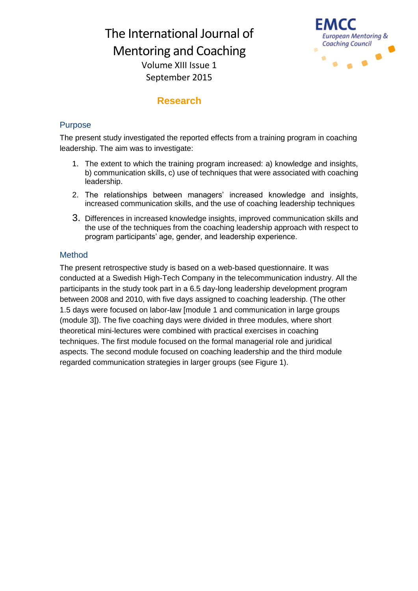September 2015



## **Research**

#### Purpose

The present study investigated the reported effects from a training program in coaching leadership. The aim was to investigate:

- 1. The extent to which the training program increased: a) knowledge and insights, b) communication skills, c) use of techniques that were associated with coaching leadership.
- 2. The relationships between managers' increased knowledge and insights, increased communication skills, and the use of coaching leadership techniques
- 3. Differences in increased knowledge insights, improved communication skills and the use of the techniques from the coaching leadership approach with respect to program participants' age, gender, and leadership experience.

## Method

The present retrospective study is based on a web-based questionnaire. It was conducted at a Swedish High-Tech Company in the telecommunication industry. All the participants in the study took part in a 6.5 day-long leadership development program between 2008 and 2010, with five days assigned to coaching leadership. (The other 1.5 days were focused on labor-law [module 1 and communication in large groups (module 3]). The five coaching days were divided in three modules, where short theoretical mini-lectures were combined with practical exercises in coaching techniques. The first module focused on the formal managerial role and juridical aspects. The second module focused on coaching leadership and the third module regarded communication strategies in larger groups (see Figure 1).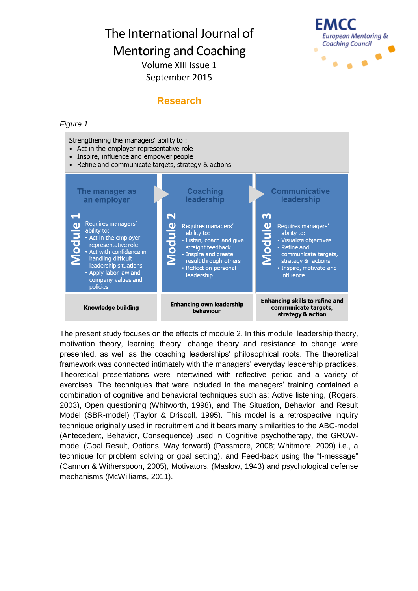

## **Research**

#### *Figure 1*

Strengthening the managers' ability to:

- Act in the employer representative role
- Inspire, influence and empower people
- Refine and communicate targets, strategy & actions  $\bullet$



The present study focuses on the effects of module 2. In this module, leadership theory, motivation theory, learning theory, change theory and resistance to change were presented, as well as the coaching leaderships' philosophical roots. The theoretical framework was connected intimately with the managers' everyday leadership practices. Theoretical presentations were intertwined with reflective period and a variety of exercises. The techniques that were included in the managers' training contained a combination of cognitive and behavioral techniques such as: Active listening, (Rogers, 2003), Open questioning (Whitworth, 1998), and The Situation, Behavior, and Result Model (SBR-model) (Taylor & Driscoll, 1995). This model is a retrospective inquiry technique originally used in recruitment and it bears many similarities to the ABC-model (Antecedent, Behavior, Consequence) used in Cognitive psychotherapy, the GROWmodel (Goal Result, Options, Way forward) (Passmore, 2008; Whitmore, 2009) i.e., a technique for problem solving or goal setting), and Feed-back using the "I-message" (Cannon & Witherspoon, 2005), Motivators, (Maslow, 1943) and psychological defense mechanisms (McWilliams, 2011).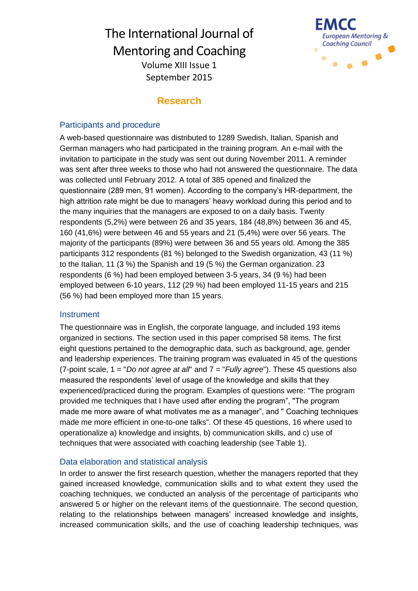

## **Research**

#### Participants and procedure

A web-based questionnaire was distributed to 1289 Swedish, Italian, Spanish and German managers who had participated in the training program. An e-mail with the invitation to participate in the study was sent out during November 2011. A reminder was sent after three weeks to those who had not answered the questionnaire. The data was collected until February 2012. A total of 385 opened and finalized the questionnaire (289 men, 91 women). According to the company's HR-department, the high attrition rate might be due to managers' heavy workload during this period and to the many inquiries that the managers are exposed to on a daily basis. Twenty respondents (5,2%) were between 26 and 35 years, 184 (48,8%) between 36 and 45, 160 (41,6%) were between 46 and 55 years and 21 (5,4%) were over 56 years. The majority of the participants (89%) were between 36 and 55 years old. Among the 385 participants 312 respondents (81 %) belonged to the Swedish organization, 43 (11 %) to the Italian, 11 (3 %) the Spanish and 19 (5 %) the German organization. 23 respondents (6 %) had been employed between 3-5 years, 34 (9 %) had been employed between 6-10 years, 112 (29 %) had been employed 11-15 years and 215 (56 %) had been employed more than 15 years.

#### **Instrument**

The questionnaire was in English, the corporate language, and included 193 items organized in sections. The section used in this paper comprised 58 items. The first eight questions pertained to the demographic data, such as background, age, gender and leadership experiences. The training program was evaluated in 45 of the questions (7-point scale, 1 = "*Do not agree at all*" and 7 = "*Fully agree*"). These 45 questions also measured the respondents' level of usage of the knowledge and skills that they experienced/practiced during the program. Examples of questions were: "The program provided me techniques that I have used after ending the program", "The program made me more aware of what motivates me as a manager", and " Coaching techniques made me more efficient in one-to-one talks". Of these 45 questions, 16 where used to operationalize a) knowledge and insights, b) communication skills, and c) use of techniques that were associated with coaching leadership (see Table 1).

## Data elaboration and statistical analysis

In order to answer the first research question, whether the managers reported that they gained increased knowledge, communication skills and to what extent they used the coaching techniques, we conducted an analysis of the percentage of participants who answered 5 or higher on the relevant items of the questionnaire. The second question, relating to the relationships between managers' increased knowledge and insights, increased communication skills, and the use of coaching leadership techniques, was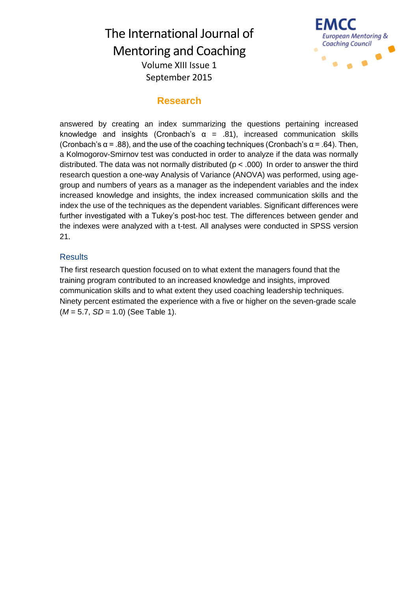

## **Research**

answered by creating an index summarizing the questions pertaining increased knowledge and insights (Cronbach's  $\alpha$  = .81), increased communication skills (Cronbach's  $\alpha$  = .88), and the use of the coaching techniques (Cronbach's  $\alpha$  = .64). Then, a Kolmogorov-Smirnov test was conducted in order to analyze if the data was normally distributed. The data was not normally distributed ( $p < .000$ ) In order to answer the third research question a one-way Analysis of Variance (ANOVA) was performed, using agegroup and numbers of years as a manager as the independent variables and the index increased knowledge and insights, the index increased communication skills and the index the use of the techniques as the dependent variables. Significant differences were further investigated with a Tukey's post-hoc test. The differences between gender and the indexes were analyzed with a t-test. All analyses were conducted in SPSS version 21.

#### **Results**

The first research question focused on to what extent the managers found that the training program contributed to an increased knowledge and insights, improved communication skills and to what extent they used coaching leadership techniques. Ninety percent estimated the experience with a five or higher on the seven-grade scale (*M* = 5.7, *SD* = 1.0) (See Table 1).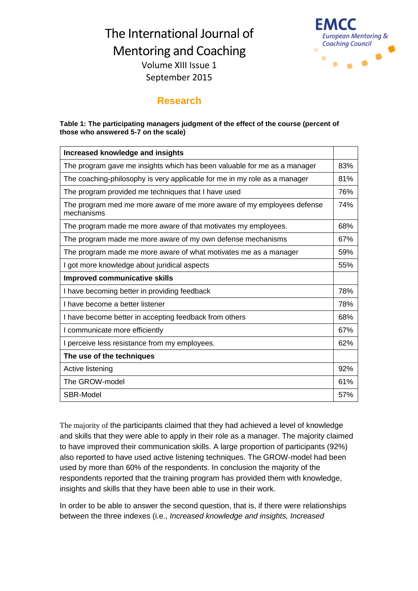September 2015



## **Research**

#### **Table 1: The participating managers judgment of the effect of the course (percent of those who answered 5-7 on the scale)**

| <b>Increased knowledge and insights</b>                                              |     |  |  |
|--------------------------------------------------------------------------------------|-----|--|--|
| The program gave me insights which has been valuable for me as a manager             |     |  |  |
| The coaching-philosophy is very applicable for me in my role as a manager            |     |  |  |
| The program provided me techniques that I have used                                  |     |  |  |
| The program med me more aware of me more aware of my employees defense<br>mechanisms |     |  |  |
| The program made me more aware of that motivates my employees.                       |     |  |  |
| The program made me more aware of my own defense mechanisms                          |     |  |  |
| The program made me more aware of what motivates me as a manager                     |     |  |  |
| I got more knowledge about juridical aspects                                         |     |  |  |
| <b>Improved communicative skills</b>                                                 |     |  |  |
| I have becoming better in providing feedback                                         |     |  |  |
| I have become a better listener                                                      |     |  |  |
| I have become better in accepting feedback from others                               |     |  |  |
| I communicate more efficiently                                                       |     |  |  |
| I perceive less resistance from my employees.                                        |     |  |  |
| The use of the techniques                                                            |     |  |  |
| Active listening                                                                     | 92% |  |  |
| The GROW-model                                                                       | 61% |  |  |
| SBR-Model                                                                            | 57% |  |  |

The majority of the participants claimed that they had achieved a level of knowledge and skills that they were able to apply in their role as a manager. The majority claimed to have improved their communication skills. A large proportion of participants (92%) also reported to have used active listening techniques. The GROW-model had been used by more than 60% of the respondents. In conclusion the majority of the respondents reported that the training program has provided them with knowledge, insights and skills that they have been able to use in their work.

In order to be able to answer the second question, that is, if there were relationships between the three indexes (i.e., *Increased knowledge and insights, Increased*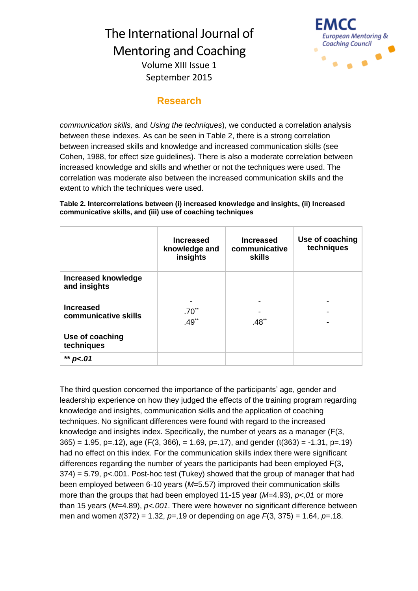

## **Research**

*communication skills,* and *Using the techniques*), we conducted a correlation analysis between these indexes. As can be seen in Table 2, there is a strong correlation between increased skills and knowledge and increased communication skills (see Cohen, 1988, for effect size guidelines). There is also a moderate correlation between increased knowledge and skills and whether or not the techniques were used. The correlation was moderate also between the increased communication skills and the extent to which the techniques were used.

#### **Table 2. Intercorrelations between (i) increased knowledge and insights, (ii) Increased communicative skills, and (iii) use of coaching techniques**

|                                            | <b>Increased</b><br>knowledge and<br>insights | <b>Increased</b><br>communicative<br><b>skills</b> | Use of coaching<br>techniques |
|--------------------------------------------|-----------------------------------------------|----------------------------------------------------|-------------------------------|
| <b>Increased knowledge</b><br>and insights |                                               |                                                    |                               |
| <b>Increased</b><br>communicative skills   | $.70^{**}$<br>$.49**$                         | $.48^{\ast}$                                       |                               |
| Use of coaching<br>techniques              |                                               |                                                    |                               |
| ** $p<.01$                                 |                                               |                                                    |                               |

The third question concerned the importance of the participants' age, gender and leadership experience on how they judged the effects of the training program regarding knowledge and insights, communication skills and the application of coaching techniques. No significant differences were found with regard to the increased knowledge and insights index. Specifically, the number of years as a manager (F(3,  $365$ ) = 1.95, p=.12), age (F(3, 366), = 1.69, p=.17), and gender (t(363) = -1.31, p=.19) had no effect on this index. For the communication skills index there were significant differences regarding the number of years the participants had been employed F(3, 374) = 5.79, p<.001. Post-hoc test (Tukey) showed that the group of manager that had been employed between 6-10 years (*M*=5.57) improved their communication skills more than the groups that had been employed 11-15 year (*M*=4.93), *p<,01* or more than 15 years (*M*=4.89), *p<.001*. There were however no significant difference between men and women *t*(372) = 1.32, *p*=,19 or depending on age *F*(3, 375) = 1.64, *p*=.18.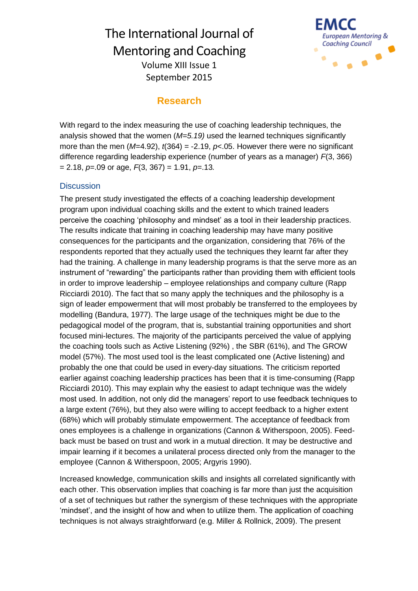

## **Research**

With regard to the index measuring the use of coaching leadership techniques, the analysis showed that the women (*M=5.19)* used the learned techniques significantly more than the men  $(M=4.92)$ ,  $t(364) = -2.19$ ,  $p<0.05$ . However there were no significant difference regarding leadership experience (number of years as a manager) *F*(3, 366) = 2.18, *p*=.09 or age, *F*(3, 367) = 1.91, *p*=.13*.*

#### **Discussion**

The present study investigated the effects of a coaching leadership development program upon individual coaching skills and the extent to which trained leaders perceive the coaching 'philosophy and mindset' as a tool in their leadership practices. The results indicate that training in coaching leadership may have many positive consequences for the participants and the organization, considering that 76% of the respondents reported that they actually used the techniques they learnt far after they had the training. A challenge in many leadership programs is that the serve more as an instrument of "rewarding" the participants rather than providing them with efficient tools in order to improve leadership – employee relationships and company culture (Rapp Ricciardi 2010). The fact that so many apply the techniques and the philosophy is a sign of leader empowerment that will most probably be transferred to the employees by modelling (Bandura, 1977). The large usage of the techniques might be due to the pedagogical model of the program, that is, substantial training opportunities and short focused mini-lectures. The majority of the participants perceived the value of applying the coaching tools such as Active Listening (92%) , the SBR (61%), and The GROW model (57%). The most used tool is the least complicated one (Active listening) and probably the one that could be used in every-day situations. The criticism reported earlier against coaching leadership practices has been that it is time-consuming (Rapp Ricciardi 2010). This may explain why the easiest to adapt technique was the widely most used. In addition, not only did the managers' report to use feedback techniques to a large extent (76%), but they also were willing to accept feedback to a higher extent (68%) which will probably stimulate empowerment. The acceptance of feedback from ones employees is a challenge in organizations (Cannon & Witherspoon, 2005). Feedback must be based on trust and work in a mutual direction. It may be destructive and impair learning if it becomes a unilateral process directed only from the manager to the employee (Cannon & Witherspoon, 2005; Argyris 1990).

Increased knowledge, communication skills and insights all correlated significantly with each other. This observation implies that coaching is far more than just the acquisition of a set of techniques but rather the synergism of these techniques with the appropriate 'mindset', and the insight of how and when to utilize them. The application of coaching techniques is not always straightforward (e.g. Miller & Rollnick, 2009). The present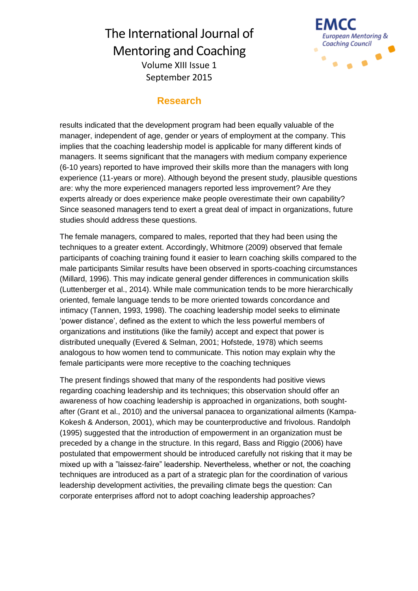

## **Research**

results indicated that the development program had been equally valuable of the manager, independent of age, gender or years of employment at the company. This implies that the coaching leadership model is applicable for many different kinds of managers. It seems significant that the managers with medium company experience (6-10 years) reported to have improved their skills more than the managers with long experience (11-years or more). Although beyond the present study, plausible questions are: why the more experienced managers reported less improvement? Are they experts already or does experience make people overestimate their own capability? Since seasoned managers tend to exert a great deal of impact in organizations, future studies should address these questions.

The female managers, compared to males, reported that they had been using the techniques to a greater extent. Accordingly, Whitmore (2009) observed that female participants of coaching training found it easier to learn coaching skills compared to the male participants Similar results have been observed in sports-coaching circumstances (Millard, 1996). This may indicate general gender differences in communication skills (Luttenberger et al., 2014). While male communication tends to be more hierarchically oriented, female language tends to be more oriented towards concordance and intimacy (Tannen, 1993, 1998). The coaching leadership model seeks to eliminate 'power distance', defined as the extent to which the less powerful members of organizations and institutions (like the family) accept and expect that power is distributed unequally (Evered & Selman, 2001; Hofstede, 1978) which seems analogous to how women tend to communicate. This notion may explain why the female participants were more receptive to the coaching techniques

The present findings showed that many of the respondents had positive views regarding coaching leadership and its techniques; this observation should offer an awareness of how coaching leadership is approached in organizations, both soughtafter (Grant et al., 2010) and the universal panacea to organizational ailments (Kampa-Kokesh & Anderson, 2001), which may be counterproductive and frivolous. Randolph (1995) suggested that the introduction of empowerment in an organization must be preceded by a change in the structure. In this regard, Bass and Riggio (2006) have postulated that empowerment should be introduced carefully not risking that it may be mixed up with a "laissez-faire" leadership. Nevertheless, whether or not, the coaching techniques are introduced as a part of a strategic plan for the coordination of various leadership development activities, the prevailing climate begs the question: Can corporate enterprises afford not to adopt coaching leadership approaches?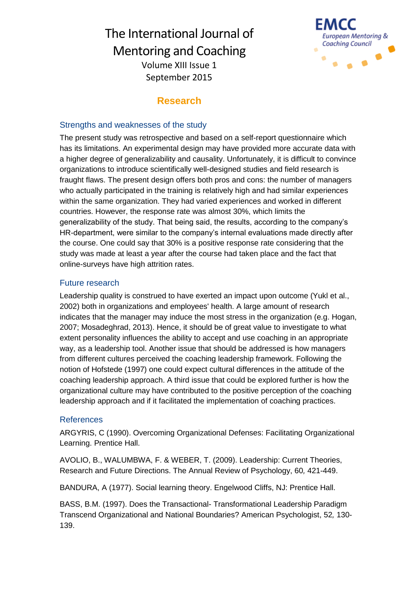

## **Research**

#### Strengths and weaknesses of the study

The present study was retrospective and based on a self-report questionnaire which has its limitations. An experimental design may have provided more accurate data with a higher degree of generalizability and causality. Unfortunately, it is difficult to convince organizations to introduce scientifically well-designed studies and field research is fraught flaws. The present design offers both pros and cons: the number of managers who actually participated in the training is relatively high and had similar experiences within the same organization. They had varied experiences and worked in different countries. However, the response rate was almost 30%, which limits the generalizability of the study. That being said, the results, according to the company's HR-department, were similar to the company's internal evaluations made directly after the course. One could say that 30% is a positive response rate considering that the study was made at least a year after the course had taken place and the fact that online-surveys have high attrition rates.

#### Future research

Leadership quality is construed to have exerted an impact upon outcome (Yukl et al., 2002) both in organizations and employees' health. A large amount of research indicates that the manager may induce the most stress in the organization (e.g. Hogan, 2007; Mosadeghrad, 2013). Hence, it should be of great value to investigate to what extent personality influences the ability to accept and use coaching in an appropriate way, as a leadership tool. Another issue that should be addressed is how managers from different cultures perceived the coaching leadership framework. Following the notion of Hofstede (1997) one could expect cultural differences in the attitude of the coaching leadership approach. A third issue that could be explored further is how the organizational culture may have contributed to the positive perception of the coaching leadership approach and if it facilitated the implementation of coaching practices.

#### References

ARGYRIS, C (1990). Overcoming Organizational Defenses: Facilitating Organizational Learning. Prentice Hall.

AVOLIO, B., WALUMBWA, F. & WEBER, T. (2009). Leadership: Current Theories, Research and Future Directions. The Annual Review of Psychology, 60*,* 421-449.

BANDURA, A (1977). Social learning theory. Engelwood Cliffs, NJ: Prentice Hall.

BASS, B.M. (1997). Does the Transactional- Transformational Leadership Paradigm Transcend Organizational and National Boundaries? American Psychologist, 52*,* 130- 139.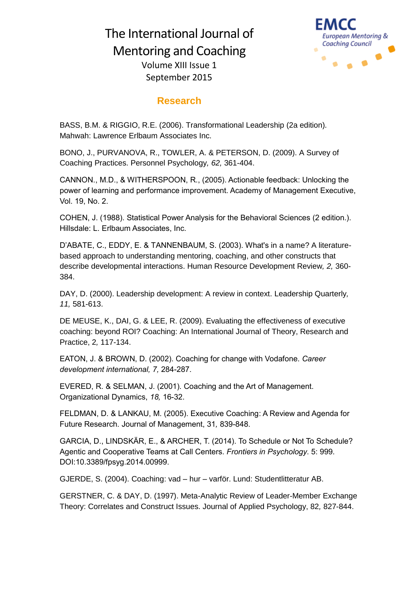

## **Research**

BASS, B.M. & RIGGIO, R.E. (2006). Transformational Leadership (2a edition)*.*  Mahwah: Lawrence Erlbaum Associates Inc.

BONO, J., PURVANOVA, R., TOWLER, A. & PETERSON, D. (2009). A Survey of Coaching Practices. Personnel Psychology*, 62,* 361-404.

CANNON., M.D., & WITHERSPOON, R., (2005). Actionable feedback: Unlocking the power of learning and performance improvement. Academy of Management Executive, Vol. 19, No. 2.

COHEN, J. (1988). Statistical Power Analysis for the Behavioral Sciences (2 edition.). Hillsdale: L. Erlbaum Associates, Inc.

D'ABATE, C., EDDY, E. & TANNENBAUM, S. (2003). What's in a name? A literaturebased approach to understanding mentoring, coaching, and other constructs that describe developmental interactions. Human Resource Development Review*, 2,* 360- 384.

DAY, D. (2000). Leadership development: A review in context. Leadership Quarterly*, 11,* 581-613.

DE MEUSE, K., DAI, G. & LEE, R. (2009). Evaluating the effectiveness of executive coaching: beyond ROI? Coaching: An International Journal of Theory, Research and Practice, 2*,* 117-134.

EATON, J. & BROWN, D. (2002). Coaching for change with Vodafone. *Career development international, 7,* 284-287.

EVERED, R. & SELMAN, J. (2001). Coaching and the Art of Management. Organizational Dynamics, *18,* 16-32.

FELDMAN, D. & LANKAU, M. (2005). Executive Coaching: A Review and Agenda for Future Research. Journal of Management, 31*,* 839-848.

GARCIA, D., LINDSKÄR, E., & ARCHER, T. (2014). To Schedule or Not To Schedule? Agentic and Cooperative Teams at Call Centers. *Frontiers in Psychology*. 5: 999. DOI:10.3389/fpsyg.2014.00999.

GJERDE, S. (2004). Coaching: vad – hur – varför. Lund: Studentlitteratur AB.

GERSTNER, C. & DAY, D. (1997). Meta-Analytic Review of Leader-Member Exchange Theory: Correlates and Construct Issues. Journal of Applied Psychology, 82*,* 827-844.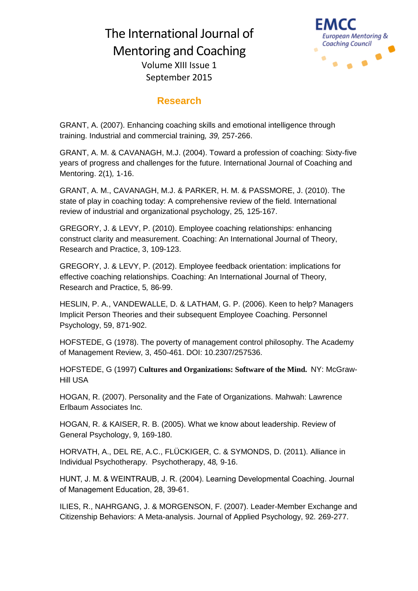

## **Research**

GRANT, A. (2007). Enhancing coaching skills and emotional intelligence through training. Industrial and commercial training*, 39,* 257-266.

GRANT, A. M. & CAVANAGH, M.J. (2004). Toward a profession of coaching: Sixty-five years of progress and challenges for the future. International Journal of Coaching and Mentoring. 2(1)*,* 1-16.

GRANT, A. M., CAVANAGH, M.J. & PARKER, H. M. & PASSMORE, J. (2010). The state of play in coaching today: A comprehensive review of the field. International review of industrial and organizational psychology, 25*,* 125-167.

GREGORY, J. & LEVY, P. (2010). Employee coaching relationships: enhancing construct clarity and measurement. Coaching: An International Journal of Theory, Research and Practice, 3, 109-123.

GREGORY, J. & LEVY, P. (2012). Employee feedback orientation: implications for effective coaching relationships. Coaching: An International Journal of Theory, Research and Practice, 5*,* 86-99.

HESLIN, P. A., VANDEWALLE, D. & LATHAM, G. P. (2006). Keen to help? Managers Implicit Person Theories and their subsequent Employee Coaching. Personnel Psychology, 59, 871-902.

HOFSTEDE, G (1978). The poverty of management control philosophy. The Academy of Management Review, 3, 450-461. DOI: 10.2307/257536.

HOFSTEDE, G (1997) **Cultures and Organizations: Software of the Mind.** NY: McGraw-Hill USA

HOGAN, R. (2007). Personality and the Fate of Organizations. Mahwah: Lawrence Erlbaum Associates Inc.

HOGAN, R. & KAISER, R. B. (2005). What we know about leadership. Review of General Psychology, 9*,* 169-180.

HORVATH, A., DEL RE, A.C., FLÜCKIGER, C. & SYMONDS, D. (2011). Alliance in Individual Psychotherapy. Psychotherapy, 48*,* 9-16.

HUNT, J. M. & WEINTRAUB, J. R. (2004). Learning Developmental Coaching. Journal of Management Education, 28, 39-61.

ILIES, R., NAHRGANG, J. & MORGENSON, F. (2007). Leader-Member Exchange and Citizenship Behaviors: A Meta-analysis. Journal of Applied Psychology, 92*.* 269-277.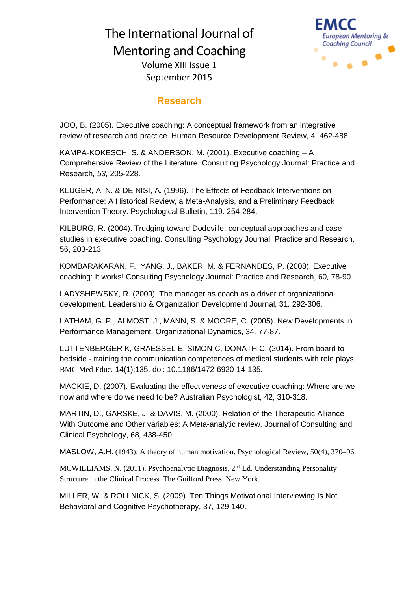

## **Research**

JOO, B. (2005). Executive coaching: A conceptual framework from an integrative review of research and practice. Human Resource Development Review, 4*,* 462-488.

KAMPA-KOKESCH, S. & ANDERSON, M. (2001). Executive coaching – A Comprehensive Review of the Literature. Consulting Psychology Journal: Practice and Research*, 53,* 205-228.

KLUGER, A. N. & DE NISI, A. (1996). The Effects of Feedback Interventions on Performance: A Historical Review, a Meta-Analysis, and a Preliminary Feedback Intervention Theory. Psychological Bulletin, 119*,* 254-284.

KILBURG, R. (2004). Trudging toward Dodoville: conceptual approaches and case studies in executive coaching. Consulting Psychology Journal: Practice and Research, 56, 203-213.

KOMBARAKARAN, F., YANG, J., BAKER, M. & FERNANDES, P. (2008). Executive coaching: It works! Consulting Psychology Journal: Practice and Research, 60*,* 78-90.

LADYSHEWSKY, R. (2009). The manager as coach as a driver of organizational development. Leadership & Organization Development Journal, 31*,* 292-306.

LATHAM, G. P., ALMOST, J., MANN, S. & MOORE, C. (2005). New Developments in Performance Management. Organizational Dynamics, 34*,* 77-87.

LUTTENBERGER K, GRAESSEL E, SIMON C, DONATH C. (2014). [From board to](http://www.ncbi.nlm.nih.gov/pubmed/24996804)  bedside - [training the communication competences of medical students with role plays.](http://www.ncbi.nlm.nih.gov/pubmed/24996804) BMC Med Educ. 14(1):135. doi: 10.1186/1472-6920-14-135.

MACKIE, D. (2007). Evaluating the effectiveness of executive coaching: Where are we now and where do we need to be? Australian Psychologist, 42, 310-318.

MARTIN, D., GARSKE, J. & DAVIS, M. (2000). Relation of the Therapeutic Alliance With Outcome and Other variables: A Meta-analytic review. Journal of Consulting and Clinical Psychology, 68*,* 438-450.

MASLOW, A.H. (1943). A theory of human motivation. Psychological Review, 50(4), 370–96.

MCWILLIAMS, N. (2011). Psychoanalytic Diagnosis, 2nd Ed. Understanding Personality Structure in the Clinical Process. The Guilford Press. New York.

MILLER, W. & ROLLNICK, S. (2009). Ten Things Motivational Interviewing Is Not. Behavioral and Cognitive Psychotherapy, 37*,* 129-140.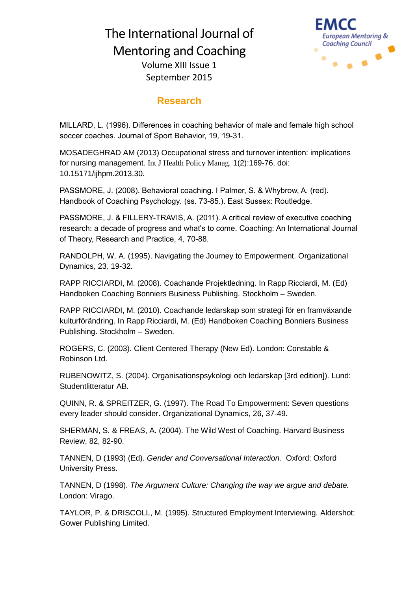

## **Research**

MILLARD, L. (1996). Differences in coaching behavior of male and female high school soccer coaches. Journal of Sport Behavior, 19*,* 19-31.

MOSADEGHRAD AM (2013) [Occupational stress and turnover intention: implications](http://www.ncbi.nlm.nih.gov/pubmed/24596858)  [for nursing management.](http://www.ncbi.nlm.nih.gov/pubmed/24596858) Int J Health Policy Manag. 1(2):169-76. doi: 10.15171/ijhpm.2013.30.

PASSMORE, J. (2008). Behavioral coaching. I Palmer, S. & Whybrow, A. (red). Handbook of Coaching Psychology*.* (ss. 73-85.). East Sussex: Routledge.

PASSMORE, J. & FILLERY-TRAVIS, A. (2011). A critical review of executive coaching research: a decade of progress and what's to come. Coaching: An International Journal of Theory, Research and Practice, 4*,* 70-88.

RANDOLPH, W. A. (1995). Navigating the Journey to Empowerment. Organizational Dynamics, 23*,* 19-32.

RAPP RICCIARDI, M. (2008). Coachande Projektledning. In Rapp Ricciardi, M. (Ed) Handboken Coaching Bonniers Business Publishing. Stockholm – Sweden.

RAPP RICCIARDI, M. (2010). Coachande ledarskap som strategi för en framväxande kulturförändring. In Rapp Ricciardi, M. (Ed) Handboken Coaching Bonniers Business Publishing. Stockholm – Sweden.

ROGERS, C. (2003). Client Centered Therapy (New Ed). London: Constable & Robinson Ltd.

RUBENOWITZ, S. (2004). Organisationspsykologi och ledarskap [3rd edition]). Lund: Studentlitteratur AB.

QUINN, R. & SPREITZER, G. (1997). The Road To Empowerment: Seven questions every leader should consider. Organizational Dynamics, 26, 37-49.

SHERMAN, S. & FREAS, A. (2004). The Wild West of Coaching. Harvard Business Review, 82, 82-90.

TANNEN, D (1993) (Ed). *Gender and Conversational Interaction.* Oxford: Oxford University Press.

TANNEN, D (1998). *The Argument Culture: Changing the way we argue and debate.*  London: Virago.

TAYLOR, P. & DRISCOLL, M. (1995). Structured Employment Interviewing*.* Aldershot: Gower Publishing Limited.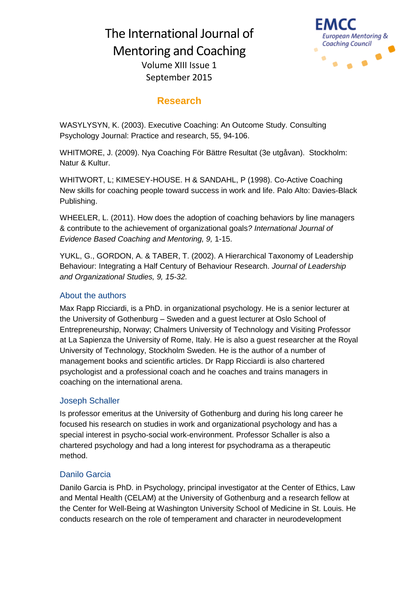

## **Research**

September 2015

WASYLYSYN, K. (2003). Executive Coaching: An Outcome Study. Consulting Psychology Journal: Practice and research, 55, 94-106.

WHITMORE, J. (2009). Nya Coaching För Bättre Resultat (3e utgåvan). Stockholm: Natur & Kultur.

WHITWORT, L; KIMESEY-HOUSE. H & SANDAHL, P (1998). Co-Active Coaching New skills for coaching people toward success in work and life. Palo Alto: Davies-Black Publishing.

WHEELER, L. (2011). How does the adoption of coaching behaviors by line managers & contribute to the achievement of organizational goals*? International Journal of Evidence Based Coaching and Mentoring, 9,* 1-15.

YUKL, G., GORDON, A. & TABER, T. (2002). A Hierarchical Taxonomy of Leadership Behaviour: Integrating a Half Century of Behaviour Research. *Journal of Leadership and Organizational Studies, 9, 15-32.*

#### About the authors

Max Rapp Ricciardi, is a PhD. in organizational psychology. He is a senior lecturer at the University of Gothenburg – Sweden and a guest lecturer at Oslo School of Entrepreneurship, Norway; Chalmers University of Technology and Visiting Professor at La Sapienza the University of Rome, Italy. He is also a guest researcher at the Royal University of Technology, Stockholm Sweden. He is the author of a number of management books and scientific articles. Dr Rapp Ricciardi is also chartered psychologist and a professional coach and he coaches and trains managers in coaching on the international arena.

#### Joseph Schaller

Is professor emeritus at the University of Gothenburg and during his long career he focused his research on studies in work and organizational psychology and has a special interest in psycho-social work-environment. Professor Schaller is also a chartered psychology and had a long interest for psychodrama as a therapeutic method.

#### Danilo Garcia

Danilo Garcia is PhD. in Psychology, principal investigator at the Center of Ethics, Law and Mental Health (CELAM) at the University of Gothenburg and a research fellow at the Center for Well-Being at Washington University School of Medicine in St. Louis. He conducts research on the role of temperament and character in neurodevelopment